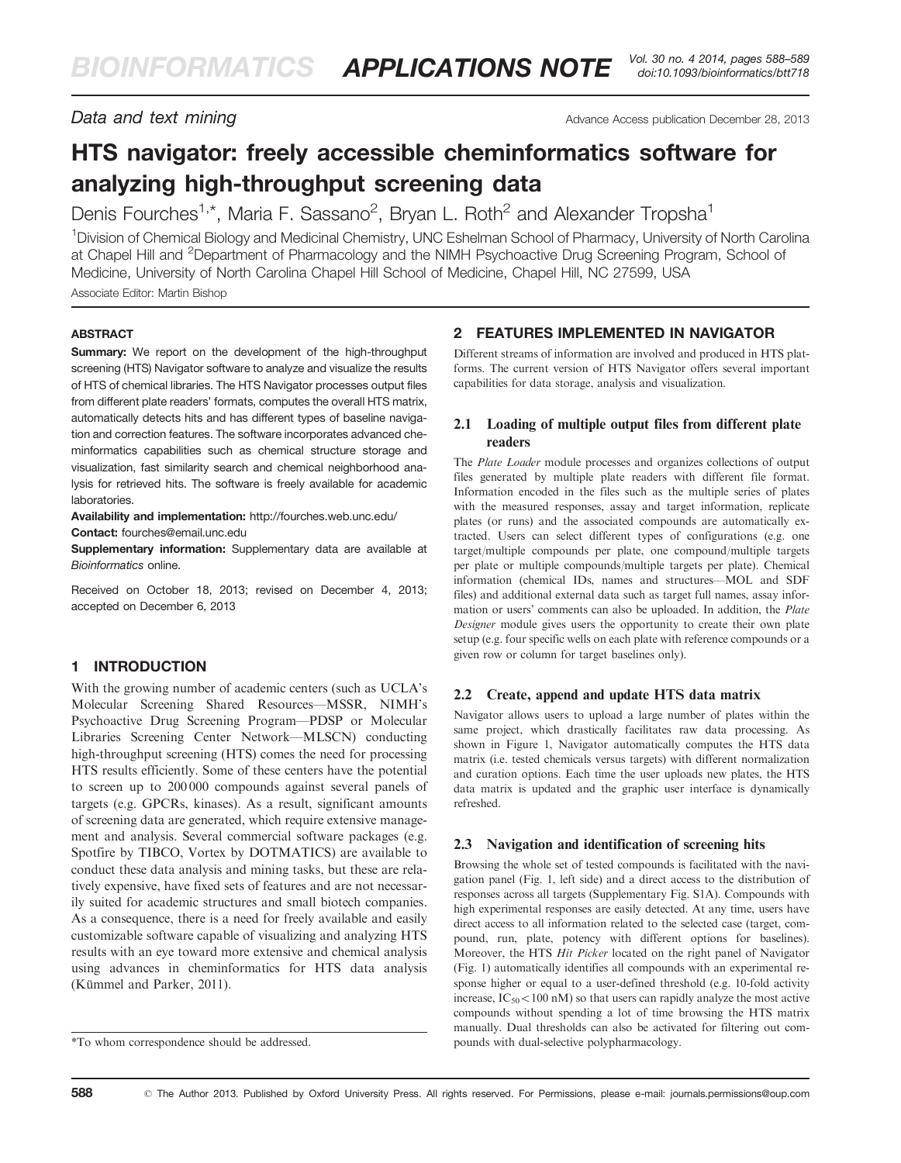**Data and text mining**  $\overline{a}$  **Data and text mining**  $\overline{a}$  **Advance Access publication December 28, 2013** 

# HTS navigator: freely accessible cheminformatics software for analyzing high-throughput screening data

Denis Fourches<sup>1,\*</sup>, Maria F. Sassano<sup>2</sup>, Bryan L. Roth<sup>2</sup> and Alexander Tropsha<sup>1</sup>

<sup>1</sup> Division of Chemical Biology and Medicinal Chemistry, UNC Eshelman School of Pharmacy, University of North Carolina at Chapel Hill and <sup>2</sup>Department of Pharmacology and the NIMH Psychoactive Drug Screening Program, School of Medicine, University of North Carolina Chapel Hill School of Medicine, Chapel Hill, NC 27599, USA Associate Editor: Martin Bishop

## **ABSTRACT**

Summary: We report on the development of the high-throughput screening (HTS) Navigator software to analyze and visualize the results of HTS of chemical libraries. The HTS Navigator processes output files from different plate readers' formats, computes the overall HTS matrix, automatically detects hits and has different types of baseline navigation and correction features. The software incorporates advanced cheminformatics capabilities such as chemical structure storage and visualization, fast similarity search and chemical neighborhood analysis for retrieved hits. The software is freely available for academic laboratories.

Availability and implementation: <http://fourches.web.unc.edu/> Contact: [fourches@email.unc.edu](mailto:fourches@email.unc.edu)

Supplementary information: [Supplementary data](http://bioinformatics.oxfordjournals.org/lookup/suppl/doi:10.1093/bioinformatics/btt718/-/DC1) are available at Bioinformatics online.

Received on October 18, 2013; revised on December 4, 2013; accepted on December 6, 2013

# 1 INTRODUCTION

With the growing number of academic centers (such as UCLA's Molecular Screening Shared Resources—MSSR, NIMH's Psychoactive Drug Screening Program—PDSP or Molecular Libraries Screening Center Network—MLSCN) conducting high-throughput screening (HTS) comes the need for processing HTS results efficiently. Some of these centers have the potential to screen up to 200 000 compounds against several panels of targets (e.g. GPCRs, kinases). As a result, significant amounts of screening data are generated, which require extensive management and analysis. Several commercial software packages (e.g. Spotfire by TIBCO, Vortex by DOTMATICS) are available to conduct these data analysis and mining tasks, but these are relatively expensive, have fixed sets of features and are not necessarily suited for academic structures and small biotech companies. As a consequence, there is a need for freely available and easily customizable software capable of visualizing and analyzing HTS results with an eye toward more extensive and chemical analysis using advances in cheminformatics for HTS data analysis (Kümmel and Parker, 2011).

## 2 FEATURES IMPLEMENTED IN NAVIGATOR

Different streams of information are involved and produced in HTS platforms. The current version of HTS Navigator offers several important capabilities for data storage, analysis and visualization.

## 2.1 Loading of multiple output files from different plate readers

The Plate Loader module processes and organizes collections of output files generated by multiple plate readers with different file format. Information encoded in the files such as the multiple series of plates with the measured responses, assay and target information, replicate plates (or runs) and the associated compounds are automatically extracted. Users can select different types of configurations (e.g. one target/multiple compounds per plate, one compound/multiple targets per plate or multiple compounds/multiple targets per plate). Chemical information (chemical IDs, names and structures—MOL and SDF files) and additional external data such as target full names, assay information or users' comments can also be uploaded. In addition, the Plate Designer module gives users the opportunity to create their own plate setup (e.g. four specific wells on each plate with reference compounds or a given row or column for target baselines only).

## 2.2 Create, append and update HTS data matrix

Navigator allows users to upload a large number of plates within the same project, which drastically facilitates raw data processing. As shown in [Figure 1,](#page-1-0) Navigator automatically computes the HTS data matrix (i.e. tested chemicals versus targets) with different normalization and curation options. Each time the user uploads new plates, the HTS data matrix is updated and the graphic user interface is dynamically refreshed.

### 2.3 Navigation and identification of screening hits

Browsing the whole set of tested compounds is facilitated with the navigation panel ([Fig. 1,](#page-1-0) left side) and a direct access to the distribution of responses across all targets [\(Supplementary Fig. S1A\)](http://bioinformatics.oxfordjournals.org/lookup/suppl/doi:10.1093/bioinformatics/btt718/-/DC1). Compounds with high experimental responses are easily detected. At any time, users have direct access to all information related to the selected case (target, compound, run, plate, potency with different options for baselines). Moreover, the HTS Hit Picker located on the right panel of Navigator [\(Fig. 1\)](#page-1-0) automatically identifies all compounds with an experimental response higher or equal to a user-defined threshold (e.g. 10-fold activity increase,  $IC_{50}$ < 100 nM) so that users can rapidly analyze the most active compounds without spending a lot of time browsing the HTS matrix manually. Dual thresholds can also be activated for filtering out com-

<sup>\*</sup>To whom correspondence should be addressed. pounds with dual-selective polypharmacology.